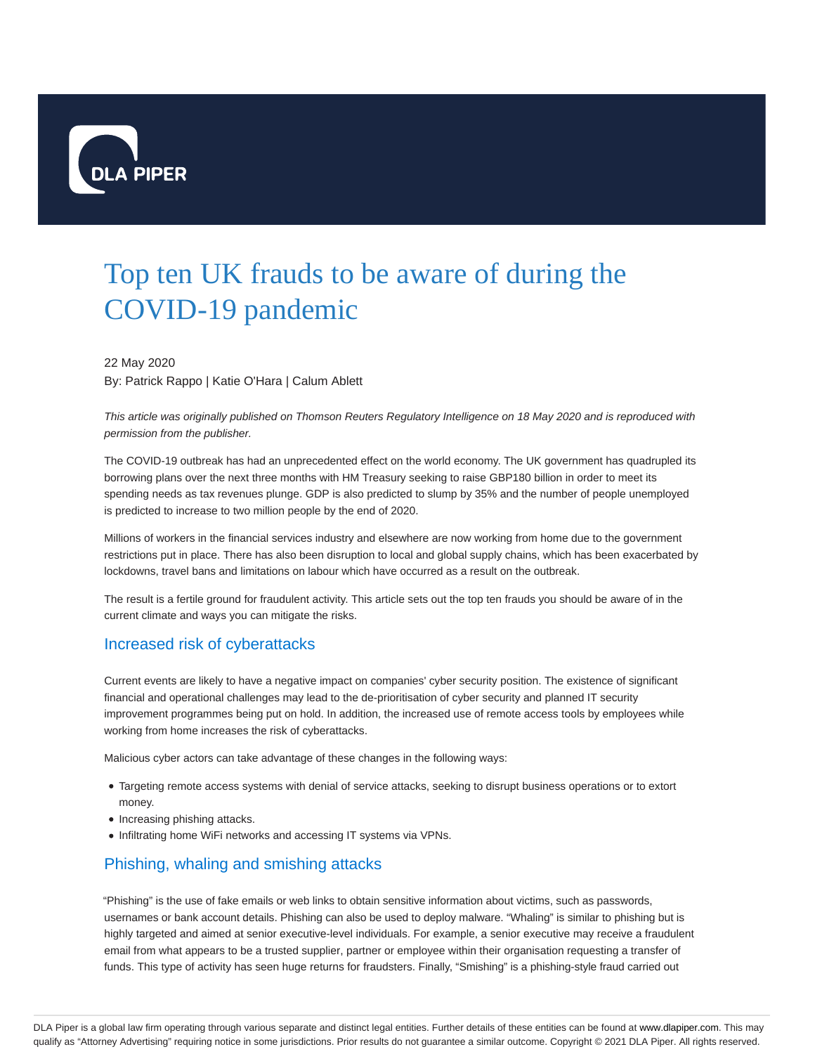

# Top ten UK frauds to be aware of during the COVID-19 pandemic

22 May 2020 By: Patrick Rappo | Katie O'Hara | Calum Ablett

This article was originally published on Thomson Reuters Regulatory Intelligence on 18 May 2020 and is reproduced with permission from the publisher.

The COVID-19 outbreak has had an unprecedented effect on the world economy. The UK government has quadrupled its borrowing plans over the next three months with HM Treasury seeking to raise GBP180 billion in order to meet its spending needs as tax revenues plunge. GDP is also predicted to slump by 35% and the number of people unemployed is predicted to increase to two million people by the end of 2020.

Millions of workers in the financial services industry and elsewhere are now working from home due to the government restrictions put in place. There has also been disruption to local and global supply chains, which has been exacerbated by lockdowns, travel bans and limitations on labour which have occurred as a result on the outbreak.

The result is a fertile ground for fraudulent activity. This article sets out the top ten frauds you should be aware of in the current climate and ways you can mitigate the risks.

#### Increased risk of cyberattacks

Current events are likely to have a negative impact on companies' cyber security position. The existence of significant financial and operational challenges may lead to the de-prioritisation of cyber security and planned IT security improvement programmes being put on hold. In addition, the increased use of remote access tools by employees while working from home increases the risk of cyberattacks.

Malicious cyber actors can take advantage of these changes in the following ways:

- Targeting remote access systems with denial of service attacks, seeking to disrupt business operations or to extort money.
- Increasing phishing attacks.
- Infiltrating home WiFi networks and accessing IT systems via VPNs.

# Phishing, whaling and smishing attacks

"Phishing" is the use of fake emails or web links to obtain sensitive information about victims, such as passwords, usernames or bank account details. Phishing can also be used to deploy malware. "Whaling" is similar to phishing but is highly targeted and aimed at senior executive-level individuals. For example, a senior executive may receive a fraudulent email from what appears to be a trusted supplier, partner or employee within their organisation requesting a transfer of funds. This type of activity has seen huge returns for fraudsters. Finally, "Smishing" is a phishing-style fraud carried out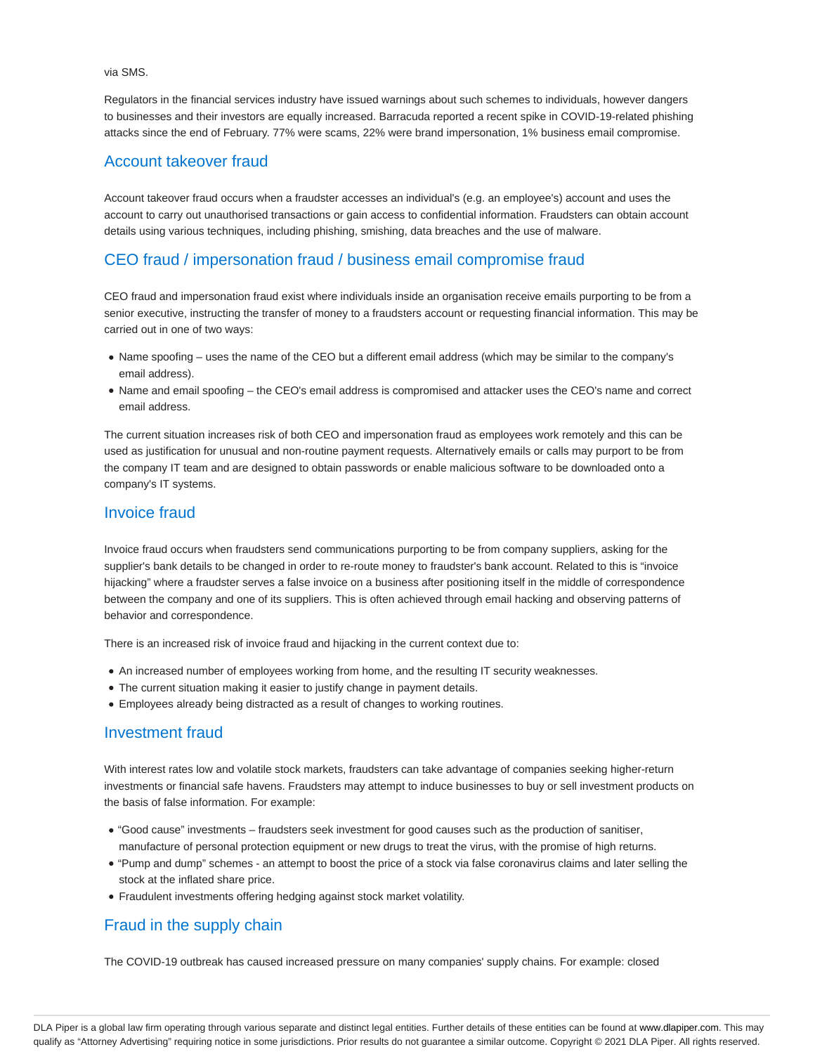via SMS.

Regulators in the financial services industry have issued warnings about such schemes to individuals, however dangers to businesses and their investors are equally increased. Barracuda reported a recent spike in COVID-19-related phishing attacks since the end of February. 77% were scams, 22% were brand impersonation, 1% business email compromise.

#### Account takeover fraud

Account takeover fraud occurs when a fraudster accesses an individual's (e.g. an employee's) account and uses the account to carry out unauthorised transactions or gain access to confidential information. Fraudsters can obtain account details using various techniques, including phishing, smishing, data breaches and the use of malware.

## CEO fraud / impersonation fraud / business email compromise fraud

CEO fraud and impersonation fraud exist where individuals inside an organisation receive emails purporting to be from a senior executive, instructing the transfer of money to a fraudsters account or requesting financial information. This may be carried out in one of two ways:

- Name spoofing uses the name of the CEO but a different email address (which may be similar to the company's email address).
- Name and email spoofing the CEO's email address is compromised and attacker uses the CEO's name and correct email address.

The current situation increases risk of both CEO and impersonation fraud as employees work remotely and this can be used as justification for unusual and non-routine payment requests. Alternatively emails or calls may purport to be from the company IT team and are designed to obtain passwords or enable malicious software to be downloaded onto a company's IT systems.

#### Invoice fraud

Invoice fraud occurs when fraudsters send communications purporting to be from company suppliers, asking for the supplier's bank details to be changed in order to re-route money to fraudster's bank account. Related to this is "invoice hijacking" where a fraudster serves a false invoice on a business after positioning itself in the middle of correspondence between the company and one of its suppliers. This is often achieved through email hacking and observing patterns of behavior and correspondence.

There is an increased risk of invoice fraud and hijacking in the current context due to:

- An increased number of employees working from home, and the resulting IT security weaknesses.
- The current situation making it easier to justify change in payment details.
- Employees already being distracted as a result of changes to working routines.

#### Investment fraud

With interest rates low and volatile stock markets, fraudsters can take advantage of companies seeking higher-return investments or financial safe havens. Fraudsters may attempt to induce businesses to buy or sell investment products on the basis of false information. For example:

- "Good cause" investments fraudsters seek investment for good causes such as the production of sanitiser, manufacture of personal protection equipment or new drugs to treat the virus, with the promise of high returns.
- "Pump and dump" schemes an attempt to boost the price of a stock via false coronavirus claims and later selling the stock at the inflated share price.
- Fraudulent investments offering hedging against stock market volatility.

# Fraud in the supply chain

The COVID-19 outbreak has caused increased pressure on many companies' supply chains. For example: closed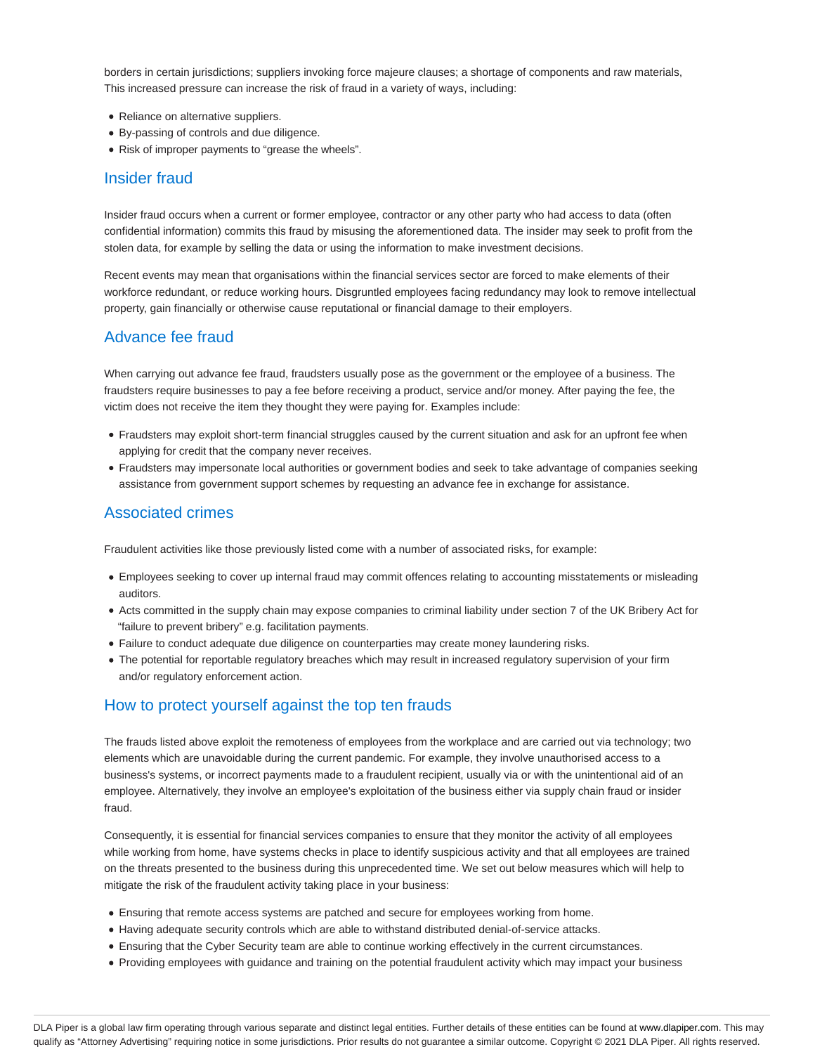borders in certain jurisdictions; suppliers invoking force majeure clauses; a shortage of components and raw materials, This increased pressure can increase the risk of fraud in a variety of ways, including:

- Reliance on alternative suppliers.
- By-passing of controls and due diligence.
- Risk of improper payments to "grease the wheels".

#### Insider fraud

Insider fraud occurs when a current or former employee, contractor or any other party who had access to data (often confidential information) commits this fraud by misusing the aforementioned data. The insider may seek to profit from the stolen data, for example by selling the data or using the information to make investment decisions.

Recent events may mean that organisations within the financial services sector are forced to make elements of their workforce redundant, or reduce working hours. Disgruntled employees facing redundancy may look to remove intellectual property, gain financially or otherwise cause reputational or financial damage to their employers.

# Advance fee fraud

When carrying out advance fee fraud, fraudsters usually pose as the government or the employee of a business. The fraudsters require businesses to pay a fee before receiving a product, service and/or money. After paying the fee, the victim does not receive the item they thought they were paying for. Examples include:

- Fraudsters may exploit short-term financial struggles caused by the current situation and ask for an upfront fee when applying for credit that the company never receives.
- Fraudsters may impersonate local authorities or government bodies and seek to take advantage of companies seeking assistance from government support schemes by requesting an advance fee in exchange for assistance.

# Associated crimes

Fraudulent activities like those previously listed come with a number of associated risks, for example:

- Employees seeking to cover up internal fraud may commit offences relating to accounting misstatements or misleading auditors.
- Acts committed in the supply chain may expose companies to criminal liability under section 7 of the UK Bribery Act for "failure to prevent bribery" e.g. facilitation payments.
- Failure to conduct adequate due diligence on counterparties may create money laundering risks.
- The potential for reportable regulatory breaches which may result in increased regulatory supervision of your firm and/or regulatory enforcement action.

# How to protect yourself against the top ten frauds

The frauds listed above exploit the remoteness of employees from the workplace and are carried out via technology; two elements which are unavoidable during the current pandemic. For example, they involve unauthorised access to a business's systems, or incorrect payments made to a fraudulent recipient, usually via or with the unintentional aid of an employee. Alternatively, they involve an employee's exploitation of the business either via supply chain fraud or insider fraud.

Consequently, it is essential for financial services companies to ensure that they monitor the activity of all employees while working from home, have systems checks in place to identify suspicious activity and that all employees are trained on the threats presented to the business during this unprecedented time. We set out below measures which will help to mitigate the risk of the fraudulent activity taking place in your business:

- Ensuring that remote access systems are patched and secure for employees working from home.
- Having adequate security controls which are able to withstand distributed denial-of-service attacks.
- Ensuring that the Cyber Security team are able to continue working effectively in the current circumstances.
- Providing employees with guidance and training on the potential fraudulent activity which may impact your business